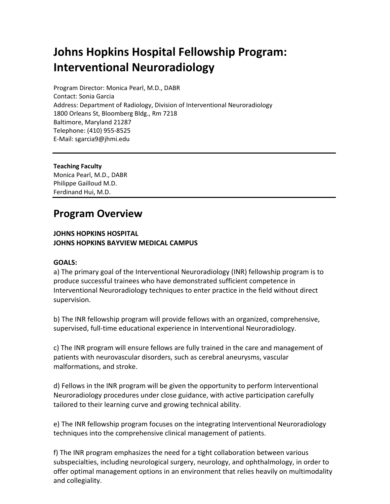# **Johns Hopkins Hospital Fellowship Program: Interventional Neuroradiology**

Program Director: Monica Pearl, M.D., DABR Contact: Sonia Garcia Address: Department of Radiology, Division of Interventional Neuroradiology 1800 Orleans St, Bloomberg Bldg., Rm 7218 Baltimore, Maryland 21287 Telephone: (410) 955‐8525 E‐Mail: sgarcia9@jhmi.edu

**Teaching Faculty** Monica Pearl, M.D., DABR Philippe Gailloud M.D. Ferdinand Hui, M.D.

# **Program Overview**

# **JOHNS HOPKINS HOSPITAL JOHNS HOPKINS BAYVIEW MEDICAL CAMPUS**

# **GOALS:**

a) The primary goal of the Interventional Neuroradiology (INR) fellowship program is to produce successful trainees who have demonstrated sufficient competence in Interventional Neuroradiology techniques to enter practice in the field without direct supervision.

b) The INR fellowship program will provide fellows with an organized, comprehensive, supervised, full-time educational experience in Interventional Neuroradiology.

c) The INR program will ensure fellows are fully trained in the care and management of patients with neurovascular disorders, such as cerebral aneurysms, vascular malformations, and stroke.

d) Fellows in the INR program will be given the opportunity to perform Interventional Neuroradiology procedures under close guidance, with active participation carefully tailored to their learning curve and growing technical ability.

e) The INR fellowship program focuses on the integrating Interventional Neuroradiology techniques into the comprehensive clinical management of patients.

f) The INR program emphasizes the need for a tight collaboration between various subspecialties, including neurological surgery, neurology, and ophthalmology, in order to offer optimal management options in an environment that relies heavily on multimodality and collegiality.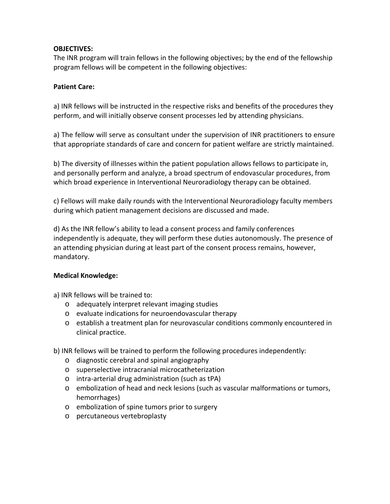### **OBJECTIVES:**

The INR program will train fellows in the following objectives; by the end of the fellowship program fellows will be competent in the following objectives:

# **Patient Care:**

a) INR fellows will be instructed in the respective risks and benefits of the procedures they perform, and will initially observe consent processes led by attending physicians.

a) The fellow will serve as consultant under the supervision of INR practitioners to ensure that appropriate standards of care and concern for patient welfare are strictly maintained.

b) The diversity of illnesses within the patient population allows fellows to participate in, and personally perform and analyze, a broad spectrum of endovascular procedures, from which broad experience in Interventional Neuroradiology therapy can be obtained.

c) Fellows will make daily rounds with the Interventional Neuroradiology faculty members during which patient management decisions are discussed and made.

d) As the INR fellow's ability to lead a consent process and family conferences independently is adequate, they will perform these duties autonomously. The presence of an attending physician during at least part of the consent process remains, however, mandatory.

# **Medical Knowledge:**

a) INR fellows will be trained to:

- o adequately interpret relevant imaging studies
- o evaluate indications for neuroendovascular therapy
- o establish a treatment plan for neurovascular conditions commonly encountered in clinical practice.
- b) INR fellows will be trained to perform the following procedures independently:
	- o diagnostic cerebral and spinal angiography
	- o superselective intracranial microcatheterization
	- o intra‐arterial drug administration (such as tPA)
	- o embolization of head and neck lesions (such as vascular malformations or tumors, hemorrhages)
	- o embolization of spine tumors prior to surgery
	- o percutaneous vertebroplasty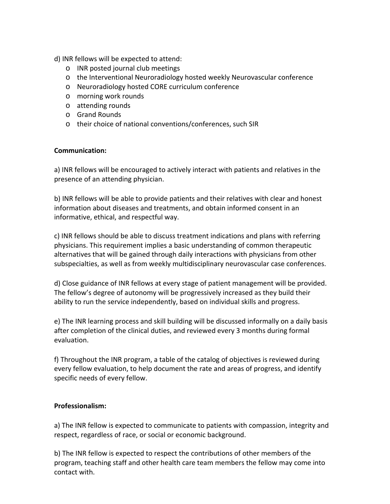- d) INR fellows will be expected to attend:
	- o INR posted journal club meetings
	- o the Interventional Neuroradiology hosted weekly Neurovascular conference
	- o Neuroradiology hosted CORE curriculum conference
	- o morning work rounds
	- o attending rounds
	- o Grand Rounds
	- o their choice of national conventions/conferences, such SIR

#### **Communication:**

a) INR fellows will be encouraged to actively interact with patients and relatives in the presence of an attending physician.

b) INR fellows will be able to provide patients and their relatives with clear and honest information about diseases and treatments, and obtain informed consent in an informative, ethical, and respectful way.

c) INR fellows should be able to discuss treatment indications and plans with referring physicians. This requirement implies a basic understanding of common therapeutic alternatives that will be gained through daily interactions with physicians from other subspecialties, as well as from weekly multidisciplinary neurovascular case conferences.

d) Close guidance of INR fellows at every stage of patient management will be provided. The fellow's degree of autonomy will be progressively increased as they build their ability to run the service independently, based on individual skills and progress.

e) The INR learning process and skill building will be discussed informally on a daily basis after completion of the clinical duties, and reviewed every 3 months during formal evaluation.

f) Throughout the INR program, a table of the catalog of objectives is reviewed during every fellow evaluation, to help document the rate and areas of progress, and identify specific needs of every fellow.

#### **Professionalism:**

a) The INR fellow is expected to communicate to patients with compassion, integrity and respect, regardless of race, or social or economic background.

b) The INR fellow is expected to respect the contributions of other members of the program, teaching staff and other health care team members the fellow may come into contact with.